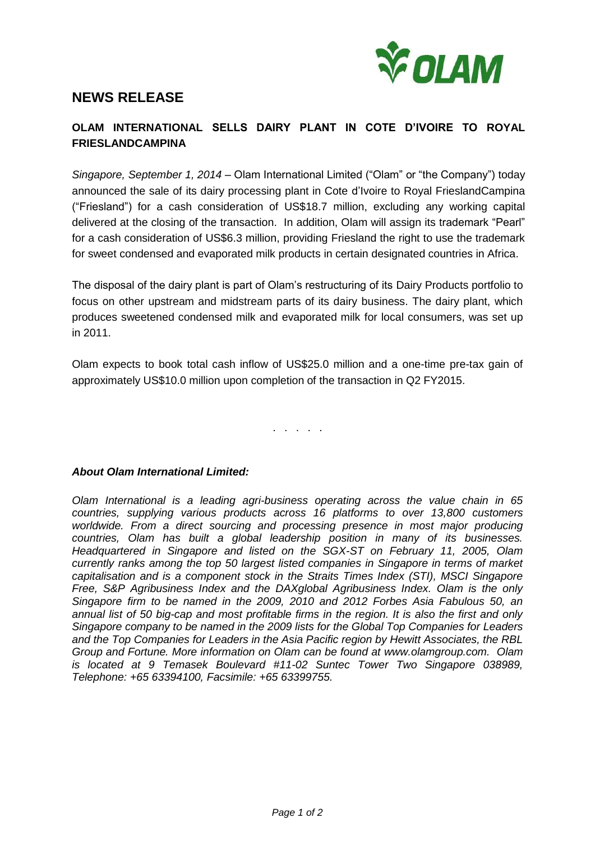

# **NEWS RELEASE**

# **OLAM INTERNATIONAL SELLS DAIRY PLANT IN COTE D'IVOIRE TO ROYAL FRIESLANDCAMPINA**

*Singapore, September 1, 2014* – Olam International Limited ("Olam" or "the Company") today announced the sale of its dairy processing plant in Cote d'Ivoire to Royal FrieslandCampina ("Friesland") for a cash consideration of US\$18.7 million, excluding any working capital delivered at the closing of the transaction. In addition, Olam will assign its trademark "Pearl" for a cash consideration of US\$6.3 million, providing Friesland the right to use the trademark for sweet condensed and evaporated milk products in certain designated countries in Africa.

The disposal of the dairy plant is part of Olam's restructuring of its Dairy Products portfolio to focus on other upstream and midstream parts of its dairy business. The dairy plant, which produces sweetened condensed milk and evaporated milk for local consumers, was set up in 2011.

Olam expects to book total cash inflow of US\$25.0 million and a one-time pre-tax gain of approximately US\$10.0 million upon completion of the transaction in Q2 FY2015.

. . . . .

## *About Olam International Limited:*

*Olam International is a leading agri-business operating across the value chain in 65 countries, supplying various products across 16 platforms to over 13,800 customers worldwide. From a direct sourcing and processing presence in most major producing countries, Olam has built a global leadership position in many of its businesses. Headquartered in Singapore and listed on the SGX-ST on February 11, 2005, Olam currently ranks among the top 50 largest listed companies in Singapore in terms of market capitalisation and is a component stock in the Straits Times Index (STI), MSCI Singapore Free, S&P Agribusiness Index and the DAXglobal Agribusiness Index. Olam is the only Singapore firm to be named in the 2009, 2010 and 2012 Forbes Asia Fabulous 50, an annual list of 50 big-cap and most profitable firms in the region. It is also the first and only Singapore company to be named in the 2009 lists for the Global Top Companies for Leaders and the Top Companies for Leaders in the Asia Pacific region by Hewitt Associates, the RBL Group and Fortune. More information on Olam can be found at [www.olamgroup.com.](http://www.olamgroup.com/) Olam is located at 9 Temasek Boulevard #11-02 Suntec Tower Two Singapore 038989, Telephone: +65 63394100, Facsimile: +65 63399755.*